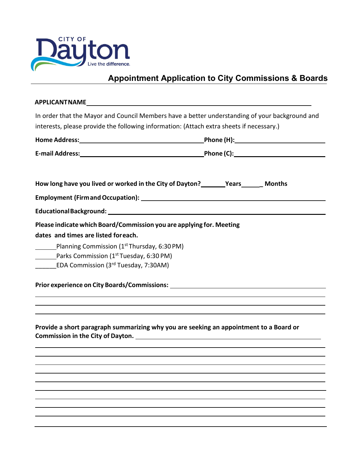

## **Appointment Application to City Commissions & Boards**

| <b>APPLICANTNAME</b>                                                                                           |                                                                                                                                                                                                                                                                                               |
|----------------------------------------------------------------------------------------------------------------|-----------------------------------------------------------------------------------------------------------------------------------------------------------------------------------------------------------------------------------------------------------------------------------------------|
|                                                                                                                | In order that the Mayor and Council Members have a better understanding of your background and                                                                                                                                                                                                |
| interests, please provide the following information: (Attach extra sheets if necessary.)                       |                                                                                                                                                                                                                                                                                               |
|                                                                                                                |                                                                                                                                                                                                                                                                                               |
|                                                                                                                |                                                                                                                                                                                                                                                                                               |
|                                                                                                                |                                                                                                                                                                                                                                                                                               |
| How long have you lived or worked in the City of Dayton?<br>Months                                             |                                                                                                                                                                                                                                                                                               |
|                                                                                                                |                                                                                                                                                                                                                                                                                               |
|                                                                                                                |                                                                                                                                                                                                                                                                                               |
| Please indicate which Board/Commission you are applying for. Meeting<br>dates and times are listed for each.   |                                                                                                                                                                                                                                                                                               |
| Planning Commission (1 <sup>st</sup> Thursday, 6:30 PM)<br>Parks Commission (1 <sup>st</sup> Tuesday, 6:30 PM) |                                                                                                                                                                                                                                                                                               |
| EDA Commission (3 <sup>rd</sup> Tuesday, 7:30AM)                                                               |                                                                                                                                                                                                                                                                                               |
|                                                                                                                | Prior experience on City Boards/Commissions: ___________________________________<br><u> 1989 - Johann Johann Stoff, deutscher Stoff aus der Stoff aus der Stoff aus der Stoff aus der Stoff aus der S</u><br>,我们也不会有什么。""我们的人,我们也不会有什么?""我们的人,我们也不会有什么?""我们的人,我们也不会有什么?""我们的人,我们也不会有什么?""我们的人 |
|                                                                                                                | Provide a short paragraph summarizing why you are seeking an appointment to a Board or                                                                                                                                                                                                        |
|                                                                                                                |                                                                                                                                                                                                                                                                                               |
|                                                                                                                |                                                                                                                                                                                                                                                                                               |
|                                                                                                                |                                                                                                                                                                                                                                                                                               |
|                                                                                                                |                                                                                                                                                                                                                                                                                               |
|                                                                                                                |                                                                                                                                                                                                                                                                                               |
|                                                                                                                |                                                                                                                                                                                                                                                                                               |